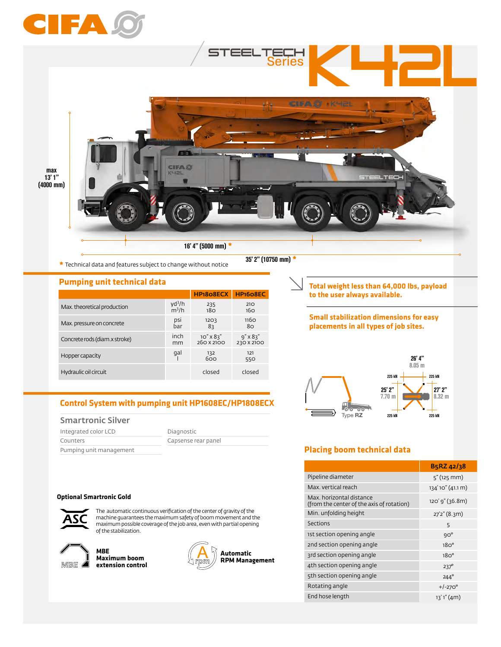

**\*** Technical data and features subject to change without notice

35' 2" (10750 mm) **\***

**Pumping unit technical data**

|                               |                    | HP <sub>1808</sub> ECX | HP <sub>1608EC</sub> |
|-------------------------------|--------------------|------------------------|----------------------|
| Max. theoretical production   | yd <sup>3</sup> /h | 235                    | 210                  |
|                               | $m^3/h$            | 18 <sub>O</sub>        | 16 <sub>O</sub>      |
| Max. pressure on concrete     | psi                | 1203                   | <b>1160</b>          |
|                               | bar                | 8२                     | 80                   |
| Concrete rods (diam.x stroke) | inch               | $10''$ X $83''$        | $9'' \times 83''$    |
|                               | mm                 | 260 X 2100             | 230 X 2100           |
| Hopper capacity               | gal                | - 132<br>- 600         | 121<br>550           |
| Hydraulic oil circuit         |                    | closed                 | closed               |

# **Control System with pumping unit HP1608EC/HP1808ECX**

#### Smartronic Silver

| Integrated color LCD    | Diagnostic          |  |
|-------------------------|---------------------|--|
| Counters                | Capsense rear panel |  |
| Pumping unit management |                     |  |

#### **Optional Smartronic Gold**



The automatic continuous verification of the center of gravity of the machine guarantees the maximum safety of boom movement and the maximum possible coverage of the job area, even with partial opening of the stabilization.



**MBE Maximum boom extension control**



**Total weight less than 64,000 lbs, payload to the user always available.** 

#### **Small stabilization dimensions for easy placements in all types of job sites.**



## **Placing boom technical data**

|                                                                       | B5RZ 42/38        |
|-----------------------------------------------------------------------|-------------------|
| Pipeline diameter                                                     | $5''$ (125 mm)    |
| Max. vertical reach                                                   | 134' 10" (41.1 m) |
| Max, horizontal distance<br>(from the center of the axis of rotation) | 120' 9" (36.8m)   |
| Min. unfolding height                                                 | 27'2" (8.3m)      |
| Sections                                                              | 5                 |
| 1st section opening angle                                             | $9O^{\circ}$      |
| 2nd section opening angle                                             | 18O <sup>o</sup>  |
| 3rd section opening angle                                             | 18O <sup>o</sup>  |
| 4th section opening angle                                             | $237^\circ$       |
| 5th section opening angle                                             | $244^\circ$       |
| Rotating angle                                                        | $+/-270^{\circ}$  |
| End hose length                                                       | 13'1''(4m)        |